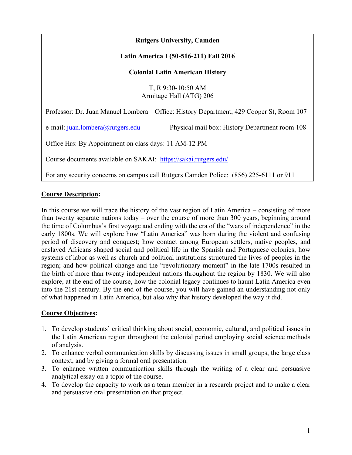# **Rutgers University, Camden Latin America I (50-516-211) Fall 2016 Colonial Latin American History** T, R 9:30-10:50 AM Armitage Hall (ATG) 206 Professor: Dr. Juan Manuel Lombera Office: History Department, 429 Cooper St, Room 107 e-mail: juan.lombera@rutgers.edu Physical mail box: History Department room 108 Office Hrs: By Appointment on class days: 11 AM-12 PM Course documents available on SAKAI: https://sakai.rutgers.edu/ For any security concerns on campus call Rutgers Camden Police: (856) 225-6111 or 911

### **Course Description:**

In this course we will trace the history of the vast region of Latin America – consisting of more than twenty separate nations today – over the course of more than 300 years, beginning around the time of Columbus's first voyage and ending with the era of the "wars of independence" in the early 1800s. We will explore how "Latin America" was born during the violent and confusing period of discovery and conquest; how contact among European settlers, native peoples, and enslaved Africans shaped social and political life in the Spanish and Portuguese colonies; how systems of labor as well as church and political institutions structured the lives of peoples in the region; and how political change and the "revolutionary moment" in the late 1700s resulted in the birth of more than twenty independent nations throughout the region by 1830. We will also explore, at the end of the course, how the colonial legacy continues to haunt Latin America even into the 21st century. By the end of the course, you will have gained an understanding not only of what happened in Latin America, but also why that history developed the way it did.

#### **Course Objectives:**

- 1. To develop students' critical thinking about social, economic, cultural, and political issues in the Latin American region throughout the colonial period employing social science methods of analysis.
- 2. To enhance verbal communication skills by discussing issues in small groups, the large class context, and by giving a formal oral presentation.
- 3. To enhance written communication skills through the writing of a clear and persuasive analytical essay on a topic of the course.
- 4. To develop the capacity to work as a team member in a research project and to make a clear and persuasive oral presentation on that project.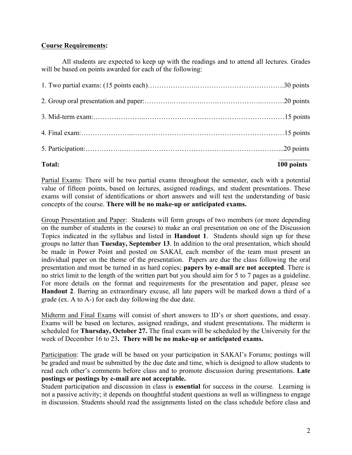#### **Course Requirements:**

All students are expected to keep up with the readings and to attend all lectures. Grades will be based on points awarded for each of the following:

**Total: 100 points**

Partial Exams: There will be two partial exams throughout the semester, each with a potential value of fifteen points, based on lectures, assigned readings, and student presentations. These exams will consist of identifications or short answers and will test the understanding of basic concepts of the course. **There will be no make-up or anticipated exams.**

Group Presentation and Paper: Students will form groups of two members (or more depending on the number of students in the course) to make an oral presentation on one of the Discussion Topics indicated in the syllabus and listed in **Handout 1**. Students should sign up for these groups no latter than **Tuesday, September 13**. In addition to the oral presentation, which should be made in Power Point and posted on SAKAI, each member of the team must present an individual paper on the theme of the presentation. Papers are due the class following the oral presentation and must be turned in as hard copies; **papers by e-mail are not accepted**. There is no strict limit to the length of the written part but you should aim for 5 to 7 pages as a guideline. For more details on the format and requirements for the presentation and paper, please see **Handout 2**. Barring an extraordinary excuse, all late papers will be marked down a third of a grade (ex. A to A-) for each day following the due date.

Midterm and Final Exams will consist of short answers to ID's or short questions, and essay. Exams will be based on lectures, assigned readings, and student presentations. The midterm is scheduled for **Thursday, October 27.** The final exam will be scheduled by the University for the week of December 16 to 23**. There will be no make-up or anticipated exams.**

Participation: The grade will be based on your participation in SAKAI's Forums; postings will be graded and must be submitted by the due date and time, which is designed to allow students to read each other's comments before class and to promote discussion during presentations. **Late postings or postings by e-mail are not acceptable.**

Student participation and discussion in class is **essential** for success in the course. Learning is not a passive activity; it depends on thoughtful student questions as well as willingness to engage in discussion. Students should read the assignments listed on the class schedule before class and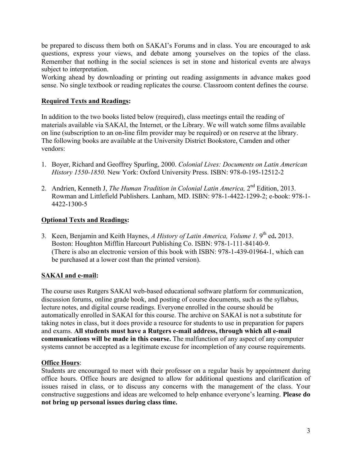be prepared to discuss them both on SAKAI's Forums and in class. You are encouraged to ask questions, express your views, and debate among yourselves on the topics of the class. Remember that nothing in the social sciences is set in stone and historical events are always subject to interpretation.

Working ahead by downloading or printing out reading assignments in advance makes good sense. No single textbook or reading replicates the course. Classroom content defines the course.

#### **Required Texts and Readings:**

In addition to the two books listed below (required), class meetings entail the reading of materials available via SAKAI, the Internet, or the Library. We will watch some films available on line (subscription to an on-line film provider may be required) or on reserve at the library. The following books are available at the University District Bookstore, Camden and other vendors:

- 1. Boyer, Richard and Geoffrey Spurling, 2000. *Colonial Lives: Documents on Latin American History 1550-1850.* New York: Oxford University Press. ISBN: 978-0-195-12512-2
- 2. Andrien, Kenneth J, *The Human Tradition in Colonial Latin America,* 2nd Edition, 2013. Rowman and Littlefield Publishers. Lanham, MD. ISBN: 978-1-4422-1299-2; e-book: 978-1- 4422-1300-5

#### **Optional Texts and Readings:**

3. Keen, Benjamin and Keith Haynes, *A History of Latin America, Volume 1.* 9th ed**.** 2013. Boston: Houghton Mifflin Harcourt Publishing Co. ISBN: 978-1-111-84140-9. (There is also an electronic version of this book with ISBN: 978-1-439-01964-1, which can be purchased at a lower cost than the printed version).

#### **SAKAI and e-mail:**

The course uses Rutgers SAKAI web-based educational software platform for communication, discussion forums, online grade book, and posting of course documents, such as the syllabus, lecture notes, and digital course readings. Everyone enrolled in the course should be automatically enrolled in SAKAI for this course. The archive on SAKAI is not a substitute for taking notes in class, but it does provide a resource for students to use in preparation for papers and exams. **All students must have a Rutgers e-mail address, through which all e-mail communications will be made in this course.** The malfunction of any aspect of any computer systems cannot be accepted as a legitimate excuse for incompletion of any course requirements.

#### **Office Hours**:

Students are encouraged to meet with their professor on a regular basis by appointment during office hours. Office hours are designed to allow for additional questions and clarification of issues raised in class, or to discuss any concerns with the management of the class. Your constructive suggestions and ideas are welcomed to help enhance everyone's learning. **Please do not bring up personal issues during class time.**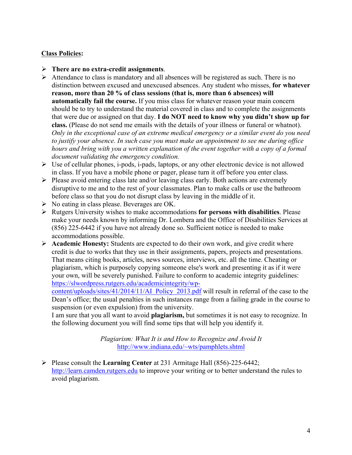#### **Class Policies:**

- Ø **There are no extra-credit assignments**.
- Ø Attendance to class is mandatory and all absences will be registered as such. There is no distinction between excused and unexcused absences. Any student who misses, **for whatever reason, more than 20 % of class sessions (that is, more than 6 absences) will automatically fail the course.** If you miss class for whatever reason your main concern should be to try to understand the material covered in class and to complete the assignments that were due or assigned on that day. **I do NOT need to know why you didn't show up for class.** (Please do not send me emails with the details of your illness or funeral or whatnot). *Only in the exceptional case of an extreme medical emergency or a similar event do you need to justify your absence. In such case you must make an appointment to see me during office hours and bring with you a written explanation of the event together with a copy of a formal document validating the emergency condition.*
- $\triangleright$  Use of cellular phones, i-pods, i-pads, laptops, or any other electronic device is not allowed in class. If you have a mobile phone or pager, please turn it off before you enter class.
- $\triangleright$  Please avoid entering class late and/or leaving class early. Both actions are extremely disruptive to me and to the rest of your classmates. Plan to make calls or use the bathroom before class so that you do not disrupt class by leaving in the middle of it.
- $\triangleright$  No eating in class please. Beverages are OK.
- Ø Rutgers University wishes to make accommodations **for persons with disabilities**. Please make your needs known by informing Dr. Lombera and the Office of Disabilities Services at (856) 225-6442 if you have not already done so. Sufficient notice is needed to make accommodations possible.
- Ø **Academic Honesty:** Students are expected to do their own work, and give credit where credit is due to works that they use in their assignments, papers, projects and presentations. That means citing books, articles, news sources, interviews, etc. all the time. Cheating or plagiarism, which is purposely copying someone else's work and presenting it as if it were your own, will be severely punished. Failure to conform to academic integrity guidelines: https://slwordpress.rutgers.edu/academicintegrity/wp-

content/uploads/sites/41/2014/11/AI\_Policy\_2013.pdf will result in referral of the case to the Dean's office; the usual penalties in such instances range from a failing grade in the course to suspension (or even expulsion) from the university.

I am sure that you all want to avoid **plagiarism,** but sometimes it is not easy to recognize. In the following document you will find some tips that will help you identify it.

> *Plagiarism: What It is and How to Recognize and Avoid It* http://www.indiana.edu/~wts/pamphlets.shtml

Ø Please consult the **Learning Center** at 231 Armitage Hall (856)-225-6442; http://learn.camden.rutgers.edu to improve your writing or to better understand the rules to avoid plagiarism.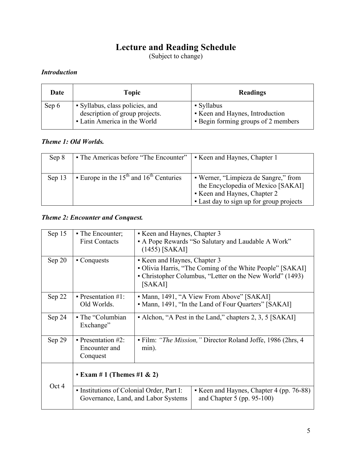# **Lecture and Reading Schedule**

(Subject to change)

# *Introduction*

| Date  | <b>Topic</b>                                                                                      | Readings                                                                             |
|-------|---------------------------------------------------------------------------------------------------|--------------------------------------------------------------------------------------|
| Sep 6 | • Syllabus, class policies, and<br>description of group projects.<br>• Latin America in the World | • Syllabus<br>• Keen and Haynes, Introduction<br>• Begin forming groups of 2 members |

#### *Theme 1: Old Worlds.*

| Sep 8  | • The Americas before "The Encounter"     | • Keen and Haynes, Chapter 1                                                                                                                         |
|--------|-------------------------------------------|------------------------------------------------------------------------------------------------------------------------------------------------------|
| Sep 13 | Europe in the $15th$ and $16th$ Centuries | • Werner, "Limpieza de Sangre," from<br>the Encyclopedia of Mexico [SAKAI]<br>Keen and Haynes, Chapter 2<br>• Last day to sign up for group projects |

#### *Theme 2: Encounter and Conquest.*

| Sep 15                                | • The Encounter;<br><b>First Contacts</b>                    | • Keen and Haynes, Chapter 3<br>• A Pope Rewards "So Salutary and Laudable A Work"<br>$(1455)$ [SAKAI]                                                           |  |
|---------------------------------------|--------------------------------------------------------------|------------------------------------------------------------------------------------------------------------------------------------------------------------------|--|
| Sep 20                                | $\blacksquare$ Conquests                                     | • Keen and Haynes, Chapter 3<br>• Olivia Harris, "The Coming of the White People" [SAKAI]<br>• Christopher Columbus, "Letter on the New World" (1493)<br>[SAKAI] |  |
| Sep 22                                | • Presentation $\#1$ :<br>Old Worlds.                        | • Mann, 1491, "A View From Above" [SAKAI]<br>• Mann, 1491, "In the Land of Four Quarters" [SAKAI]                                                                |  |
| Sep 24                                | • The "Columbian"<br>Exchange"                               | • Alchon, "A Pest in the Land," chapters 2, 3, 5 [SAKAI]                                                                                                         |  |
| Sep 29                                | $\blacksquare$ Presentation #2:<br>Encounter and<br>Conquest | • Film: "The Mission," Director Roland Joffe, 1986 (2hrs, 4)<br>min).                                                                                            |  |
| <b>• Exam # 1 (Themes #1 &amp; 2)</b> |                                                              |                                                                                                                                                                  |  |
| Oct 4                                 | • Institutions of Colonial Order, Part I:                    | • Keen and Haynes, Chapter 4 (pp. 76-88)<br>and Chapter $5$ (pp. 95-100)<br>Governance, Land, and Labor Systems                                                  |  |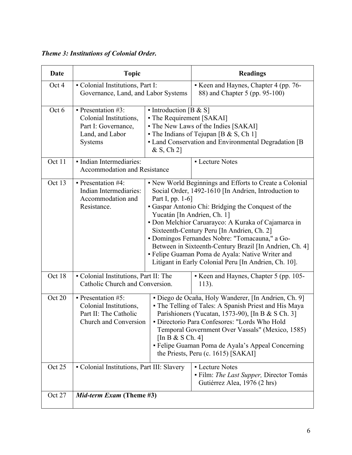# *Theme 3: Institutions of Colonial Order.*

| Date   | <b>Topic</b>                                                                                                          |                                                                   | <b>Readings</b>                                                                                                                                                                                                                                                                                                                                                                                                                                                                                      |
|--------|-----------------------------------------------------------------------------------------------------------------------|-------------------------------------------------------------------|------------------------------------------------------------------------------------------------------------------------------------------------------------------------------------------------------------------------------------------------------------------------------------------------------------------------------------------------------------------------------------------------------------------------------------------------------------------------------------------------------|
| Oct 4  | - Colonial Institutions, Part I:<br>Governance, Land, and Labor Systems                                               |                                                                   | Keen and Haynes, Chapter 4 (pp. 76-<br>88) and Chapter 5 (pp. 95-100)                                                                                                                                                                                                                                                                                                                                                                                                                                |
| Oct 6  | $\blacksquare$ Presentation #3:<br>Colonial Institutions,<br>Part I: Governance,<br>Land, and Labor<br><b>Systems</b> | • Introduction [B & S]<br>• The Requirement [SAKAI]<br>& S, Ch 2] | - The New Laws of the Indies [SAKAI]<br>• The Indians of Tejupan [B $& S, Ch 1$ ]<br>• Land Conservation and Environmental Degradation [B]                                                                                                                                                                                                                                                                                                                                                           |
| Oct 11 | · Indian Intermediaries:<br><b>Accommodation and Resistance</b>                                                       |                                                                   | - Lecture Notes                                                                                                                                                                                                                                                                                                                                                                                                                                                                                      |
| Oct 13 | $\blacksquare$ Presentation #4:<br>Indian Intermediaries:<br>Accommodation and<br>Resistance.                         | Part I, pp. 1-6]<br>Yucatán [In Andrien, Ch. 1]                   | • New World Beginnings and Efforts to Create a Colonial<br>Social Order, 1492-1610 [In Andrien, Introduction to<br>• Gaspar Antonio Chi: Bridging the Conquest of the<br>• Don Melchior Caruarayco: A Kuraka of Cajamarca in<br>Sixteenth-Century Peru [In Andrien, Ch. 2]<br>· Domingos Fernandes Nobre: "Tomacauna," a Go-<br>Between in Sixteenth-Century Brazil [In Andrien, Ch. 4]<br>- Felipe Guaman Poma de Ayala: Native Writer and<br>Litigant in Early Colonial Peru [In Andrien, Ch. 10]. |
| Oct 18 | • Colonial Institutions, Part II: The<br>Catholic Church and Conversion.                                              |                                                                   | Keen and Haynes, Chapter 5 (pp. 105-<br>113).                                                                                                                                                                                                                                                                                                                                                                                                                                                        |
| Oct 20 | $\blacksquare$ Presentation #5:<br>Colonial Institutions,<br>Part II: The Catholic<br>Church and Conversion           | [In B & S Ch. 4]                                                  | · Diego de Ocaña, Holy Wanderer, [In Andrien, Ch. 9]<br>• The Telling of Tales: A Spanish Priest and His Maya<br>Parishioners (Yucatan, 1573-90), [In B & S Ch. 3]<br>· Directorio Para Confesores: "Lords Who Hold<br>Temporal Government Over Vassals" (Mexico, 1585)<br>- Felipe Guaman Poma de Ayala's Appeal Concerning<br>the Priests, Peru (c. 1615) [SAKAI]                                                                                                                                  |
| Oct 25 | - Colonial Institutions, Part III: Slavery                                                                            |                                                                   | - Lecture Notes<br>• Film: The Last Supper, Director Tomás<br>Gutiérrez Alea, 1976 (2 hrs)                                                                                                                                                                                                                                                                                                                                                                                                           |
| Oct 27 | Mid-term Exam (Theme #3)                                                                                              |                                                                   |                                                                                                                                                                                                                                                                                                                                                                                                                                                                                                      |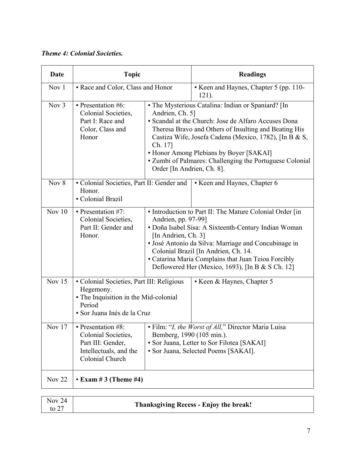# *Theme 4: Colonial Societies.*

| <b>Date</b> | <b>Topic</b>                                                                                                                                                         |                                                          | <b>Readings</b>                                                                                                                                                                                                                                                                                                                      |
|-------------|----------------------------------------------------------------------------------------------------------------------------------------------------------------------|----------------------------------------------------------|--------------------------------------------------------------------------------------------------------------------------------------------------------------------------------------------------------------------------------------------------------------------------------------------------------------------------------------|
| Nov 1       | • Race and Color, Class and Honor                                                                                                                                    |                                                          | Keen and Haynes, Chapter 5 (pp. 110-<br>121).                                                                                                                                                                                                                                                                                        |
| Nov 3       | $\blacksquare$ Presentation #6:<br>Colonial Societies,<br>Part I: Race and<br>Color, Class and<br>Honor                                                              | Andrien, Ch. 5]<br>Ch. 17]<br>Order [In Andrien, Ch. 8]. | - The Mysterious Catalina: Indian or Spaniard? [In<br>• Scandal at the Church: Jose de Alfaro Accuses Dona<br>Theresa Bravo and Others of Insulting and Beating His<br>Castiza Wife, Josefa Cadena (Mexico, 1782), [In B & S,<br>• Honor Among Plebians by Boyer [SAKAI]<br>• Zumbi of Palmares: Challenging the Portuguese Colonial |
| Nov $8$     | • Colonial Societies, Part II: Gender and<br>Honor.<br>- Colonial Brazil                                                                                             |                                                          | Keen and Haynes, Chapter 6                                                                                                                                                                                                                                                                                                           |
| Nov $10$    | $\blacksquare$ Presentation #7:<br>Colonial Societies,<br>Part II: Gender and<br>Honor.                                                                              | Andrien, pp. 97-99]<br>[In Andrien, Ch. 3]               | • Introduction to Part II: The Mature Colonial Order [in<br>• Doña Isabel Sisa: A Sixteenth-Century Indian Woman<br>· José Antonio da Silva: Marriage and Concubinage in<br>Colonial Brazil [In Andrien, Ch. 14.<br>• Catarina Maria Complains that Juan Teioa Forcibly<br>Deflowered Her (Mexico, 1693), [In B $&$ S Ch. 12]        |
| Nov $15$    | • Colonial Societies, Part III: Religious<br>Keen & Haynes, Chapter 5<br>Hegemony.<br>• The Inquisition in the Mid-colonial<br>Period<br>· Sor Juana Inés de la Cruz |                                                          |                                                                                                                                                                                                                                                                                                                                      |
| Nov 17      | • Presentation #8:<br>Colonial Societies,<br>Part III: Gender,<br>Intellectuals, and the<br>Colonial Church                                                          | Bemberg, 1990 (105 min.).                                | - Film: "I, the Worst of All," Director Maria Luisa<br>• Sor Juana, Letter to Sor Filotea [SAKAI]<br>• Sor Juana, Selected Poems [SAKAI].                                                                                                                                                                                            |
| Nov $22$    | <b>• Exam #3 (Theme #4)</b>                                                                                                                                          |                                                          |                                                                                                                                                                                                                                                                                                                                      |

| <b>Nov 24</b><br>to $27$ | <b>Thanksgiving Recess - Enjoy the break!</b> |  |
|--------------------------|-----------------------------------------------|--|
|                          |                                               |  |